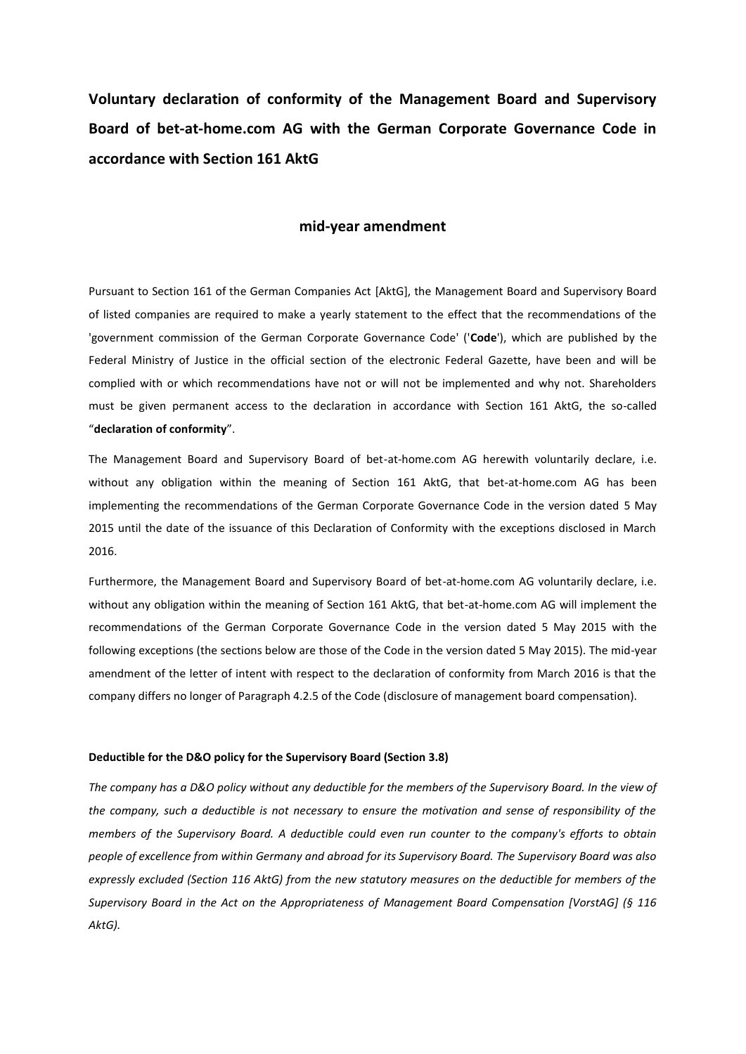**Voluntary declaration of conformity of the Management Board and Supervisory Board of bet-at-home.com AG with the German Corporate Governance Code in accordance with Section 161 AktG** 

# **mid-year amendment**

Pursuant to Section 161 of the German Companies Act [AktG], the Management Board and Supervisory Board of listed companies are required to make a yearly statement to the effect that the recommendations of the 'government commission of the German Corporate Governance Code' ('**Code**'), which are published by the Federal Ministry of Justice in the official section of the electronic Federal Gazette, have been and will be complied with or which recommendations have not or will not be implemented and why not. Shareholders must be given permanent access to the declaration in accordance with Section 161 AktG, the so-called "**declaration of conformity**".

The Management Board and Supervisory Board of bet-at-home.com AG herewith voluntarily declare, i.e. without any obligation within the meaning of Section 161 AktG, that bet-at-home.com AG has been implementing the recommendations of the German Corporate Governance Code in the version dated 5 May 2015 until the date of the issuance of this Declaration of Conformity with the exceptions disclosed in March 2016.

Furthermore, the Management Board and Supervisory Board of bet-at-home.com AG voluntarily declare, i.e. without any obligation within the meaning of Section 161 AktG, that bet-at-home.com AG will implement the recommendations of the German Corporate Governance Code in the version dated 5 May 2015 with the following exceptions (the sections below are those of the Code in the version dated 5 May 2015). The mid-year amendment of the letter of intent with respect to the declaration of conformity from March 2016 is that the company differs no longer of Paragraph 4.2.5 of the Code (disclosure of management board compensation).

#### **Deductible for the D&O policy for the Supervisory Board (Section 3.8)**

*The company has a D&O policy without any deductible for the members of the Supervisory Board. In the view of the company, such a deductible is not necessary to ensure the motivation and sense of responsibility of the members of the Supervisory Board. A deductible could even run counter to the company's efforts to obtain people of excellence from within Germany and abroad for its Supervisory Board. The Supervisory Board was also expressly excluded (Section 116 AktG) from the new statutory measures on the deductible for members of the Supervisory Board in the Act on the Appropriateness of Management Board Compensation [VorstAG] (§ 116 AktG).*